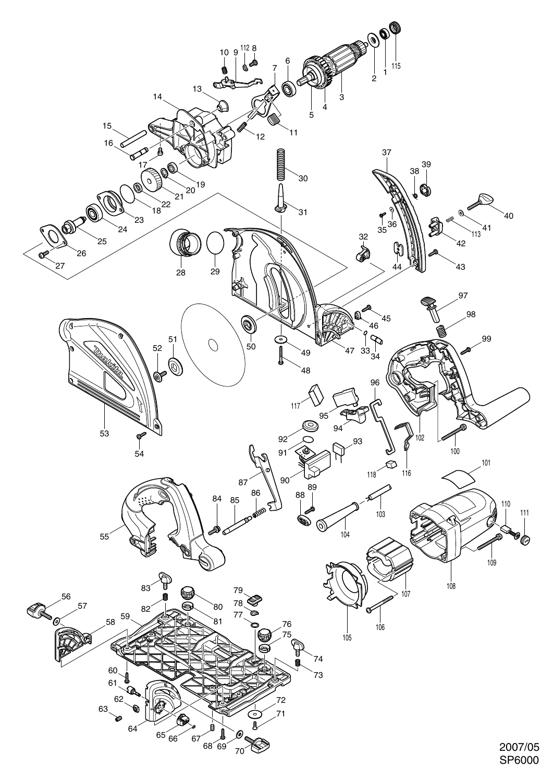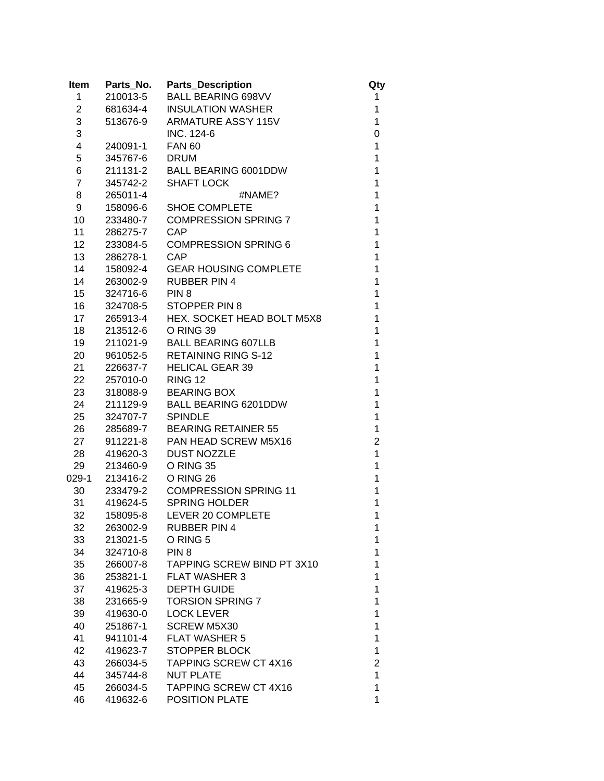| <b>Item</b>    | Parts_No. | <b>Parts_Description</b>     | Qty            |
|----------------|-----------|------------------------------|----------------|
| 1              | 210013-5  | <b>BALL BEARING 698VV</b>    | 1              |
| 2              | 681634-4  | <b>INSULATION WASHER</b>     | 1              |
| 3              | 513676-9  | <b>ARMATURE ASS'Y 115V</b>   | 1              |
| 3              |           | INC. 124-6                   | 0              |
| 4              | 240091-1  | <b>FAN 60</b>                | 1              |
| 5              | 345767-6  | <b>DRUM</b>                  | 1              |
| 6              | 211131-2  | <b>BALL BEARING 6001DDW</b>  | 1              |
| $\overline{7}$ | 345742-2  | <b>SHAFT LOCK</b>            | $\overline{1}$ |
| 8              | 265011-4  | #NAME?                       | 1              |
| 9              | 158096-6  | <b>SHOE COMPLETE</b>         | 1              |
| 10             | 233480-7  | <b>COMPRESSION SPRING 7</b>  | 1              |
| 11             | 286275-7  | CAP                          | 1              |
| 12             | 233084-5  | <b>COMPRESSION SPRING 6</b>  | 1              |
| 13             | 286278-1  | CAP                          | 1              |
| 14             | 158092-4  | <b>GEAR HOUSING COMPLETE</b> | 1              |
| 14             | 263002-9  | <b>RUBBER PIN 4</b>          | 1              |
| 15             | 324716-6  | PIN <sub>8</sub>             | 1              |
| 16             | 324708-5  | <b>STOPPER PIN 8</b>         | 1              |
| 17             | 265913-4  | HEX. SOCKET HEAD BOLT M5X8   | 1              |
| 18             | 213512-6  | O RING 39                    | 1              |
| 19             | 211021-9  | <b>BALL BEARING 607LLB</b>   | $\overline{1}$ |
| 20             | 961052-5  | <b>RETAINING RING S-12</b>   | 1              |
| 21             | 226637-7  | <b>HELICAL GEAR 39</b>       | 1              |
| 22             | 257010-0  | <b>RING 12</b>               | 1              |
| 23             | 318088-9  | <b>BEARING BOX</b>           | 1              |
| 24             | 211129-9  | <b>BALL BEARING 6201DDW</b>  | 1              |
| 25             | 324707-7  | <b>SPINDLE</b>               | 1              |
| 26             | 285689-7  | <b>BEARING RETAINER 55</b>   | 1              |
| 27             | 911221-8  | PAN HEAD SCREW M5X16         | $\overline{2}$ |
| 28             | 419620-3  | <b>DUST NOZZLE</b>           | 1              |
| 29             | 213460-9  | O RING 35                    | 1              |
| 029-1          | 213416-2  | O RING 26                    | 1              |
| 30             | 233479-2  | <b>COMPRESSION SPRING 11</b> | 1              |
| 31             |           | 419624-5 SPRING HOLDER       | 1              |
| 32             | 158095-8  | LEVER 20 COMPLETE            | 1              |
| 32             | 263002-9  | <b>RUBBER PIN 4</b>          | 1              |
| 33             | 213021-5  | O RING 5                     | 1              |
| 34             | 324710-8  | PIN <sub>8</sub>             | 1              |
| 35             | 266007-8  | TAPPING SCREW BIND PT 3X10   | 1              |
| 36             | 253821-1  | <b>FLAT WASHER 3</b>         | 1              |
| 37             | 419625-3  | <b>DEPTH GUIDE</b>           | 1              |
| 38             | 231665-9  | <b>TORSION SPRING 7</b>      | 1              |
| 39             | 419630-0  | <b>LOCK LEVER</b>            | 1              |
| 40             | 251867-1  | <b>SCREW M5X30</b>           | 1              |
| 41             | 941101-4  | <b>FLAT WASHER 5</b>         | 1              |
| 42             | 419623-7  | <b>STOPPER BLOCK</b>         | 1              |
| 43             | 266034-5  | <b>TAPPING SCREW CT 4X16</b> | $\overline{2}$ |
| 44             | 345744-8  | <b>NUT PLATE</b>             | 1              |
| 45             | 266034-5  | <b>TAPPING SCREW CT 4X16</b> | 1              |
| 46             | 419632-6  | POSITION PLATE               | 1              |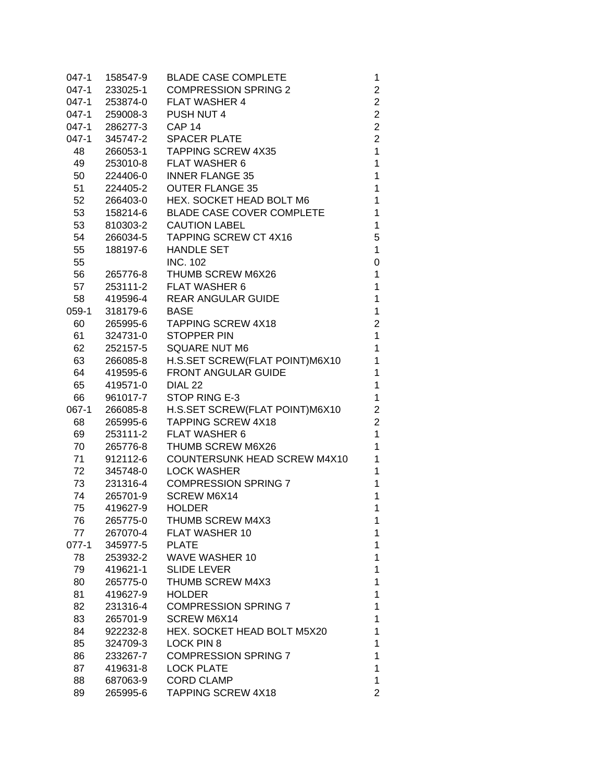| 047-1 | 158547-9       | <b>BLADE CASE COMPLETE</b>       | 1                              |
|-------|----------------|----------------------------------|--------------------------------|
| 047-1 | 233025-1       | <b>COMPRESSION SPRING 2</b>      | $\overline{c}$                 |
| 047-1 | 253874-0       | <b>FLAT WASHER 4</b>             | $\overline{c}$                 |
|       | 047-1 259008-3 | PUSH NUT 4                       | $\overline{c}$                 |
| 047-1 | 286277-3       | CAP <sub>14</sub>                | $\overline{\mathbf{c}}$        |
| 047-1 | 345747-2       | <b>SPACER PLATE</b>              | $\overline{2}$                 |
| 48    | 266053-1       | <b>TAPPING SCREW 4X35</b>        | $\mathbf 1$                    |
| 49    | 253010-8       | <b>FLAT WASHER 6</b>             | $\mathbf{1}$                   |
| 50    | 224406-0       | <b>INNER FLANGE 35</b>           | $\mathbf{1}$                   |
| 51    | 224405-2       | <b>OUTER FLANGE 35</b>           | $\mathbf{1}$                   |
| 52    | 266403-0       | HEX. SOCKET HEAD BOLT M6         | $\mathbf{1}$                   |
| 53    | 158214-6       | <b>BLADE CASE COVER COMPLETE</b> | $\mathbf 1$                    |
| 53    | 810303-2       | <b>CAUTION LABEL</b>             | $\mathbf 1$                    |
| 54    | 266034-5       | TAPPING SCREW CT 4X16            | 5                              |
| 55    | 188197-6       | <b>HANDLE SET</b>                | $\mathbf{1}$                   |
| 55    |                | <b>INC. 102</b>                  | 0                              |
| 56    | 265776-8       | THUMB SCREW M6X26                | 1                              |
| 57    | 253111-2       | <b>FLAT WASHER 6</b>             | 1                              |
| 58    | 419596-4       | <b>REAR ANGULAR GUIDE</b>        | $\mathbf 1$                    |
| 059-1 | 318179-6       | <b>BASE</b>                      | 1                              |
| 60    | 265995-6       | <b>TAPPING SCREW 4X18</b>        |                                |
|       |                | <b>STOPPER PIN</b>               | $\overline{c}$<br>$\mathbf{1}$ |
| 61 —  | 324731-0       |                                  |                                |
| 62    | 252157-5       | <b>SQUARE NUT M6</b>             | 1                              |
| 63    | 266085-8       | H.S.SET SCREW(FLAT POINT)M6X10   | $\mathbf{1}$                   |
| 64    | 419595-6       | FRONT ANGULAR GUIDE              | 1                              |
| 65    | 419571-0       | DIAL <sub>22</sub>               | 1                              |
| 66    | 961017-7       | STOP RING E-3                    | 1                              |
| 067-1 | 266085-8       | H.S.SET SCREW(FLAT POINT)M6X10   | $\overline{c}$                 |
| 68    | 265995-6       | <b>TAPPING SCREW 4X18</b>        | $\overline{2}$                 |
| 69    | 253111-2       | <b>FLAT WASHER 6</b>             | $\mathbf{1}$                   |
| 70    | 265776-8       | THUMB SCREW M6X26                | $\mathbf{1}$                   |
| 71    | 912112-6       | COUNTERSUNK HEAD SCREW M4X10     | $\mathbf 1$                    |
| 72    | 345748-0       | <b>LOCK WASHER</b>               | $\mathbf{1}$                   |
|       | 73 231316-4    | <b>COMPRESSION SPRING 7</b>      | $\mathbf{1}$                   |
| 74    | 265701-9       | <b>SCREW M6X14</b>               | 1                              |
| 75    | 419627-9       | <b>HOLDER</b>                    | 1                              |
| 76    | 265775-0       | THUMB SCREW M4X3                 | 1                              |
| 77    | 267070-4       | FLAT WASHER 10                   | 1.                             |
| 077-1 | 345977-5       | <b>PLATE</b>                     | 1                              |
| 78    | 253932-2       | <b>WAVE WASHER 10</b>            | 1                              |
| 79    | 419621-1       | <b>SLIDE LEVER</b>               | 1                              |
| 80    | 265775-0       | THUMB SCREW M4X3                 | 1                              |
| 81    | 419627-9       | <b>HOLDER</b>                    | 1                              |
| 82    | 231316-4       | <b>COMPRESSION SPRING 7</b>      | 1                              |
| 83    | 265701-9       | <b>SCREW M6X14</b>               | 1                              |
| 84    | 922232-8       | HEX. SOCKET HEAD BOLT M5X20      | 1                              |
| 85    | 324709-3       | LOCK PIN 8                       | 1                              |
| 86    | 233267-7       | <b>COMPRESSION SPRING 7</b>      | 1                              |
| 87    | 419631-8       | <b>LOCK PLATE</b>                | 1                              |
| 88    | 687063-9       | <b>CORD CLAMP</b>                | 1                              |
| 89    | 265995-6       | <b>TAPPING SCREW 4X18</b>        | $\overline{2}$                 |